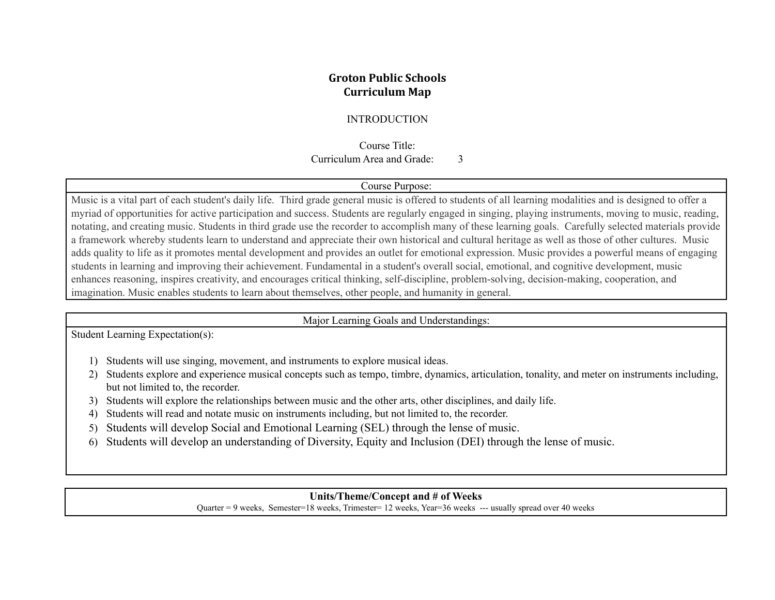## **Groton Public Schools Curriculum Map**

## INTRODUCTION

Course Title: Curriculum Area and Grade: 3

#### Course Purpose:

Music is a vital part of each student's daily life. Third grade general music is offered to students of all learning modalities and is designed to offer a myriad of opportunities for active participation and success. Students are regularly engaged in singing, playing instruments, moving to music, reading, notating, and creating music. Students in third grade use the recorder to accomplish many of these learning goals. Carefully selected materials provide a framework whereby students learn to understand and appreciate their own historical and cultural heritage as well as those of other cultures. Music adds quality to life as it promotes mental development and provides an outlet for emotional expression. Music provides a powerful means of engaging students in learning and improving their achievement. Fundamental in a student's overall social, emotional, and cognitive development, music enhances reasoning, inspires creativity, and encourages critical thinking, self-discipline, problem-solving, decision-making, cooperation, and imagination. Music enables students to learn about themselves, other people, and humanity in general.

#### Major Learning Goals and Understandings:

Student Learning Expectation(s):

- 1) Students will use singing, movement, and instruments to explore musical ideas.
- 2) Students explore and experience musical concepts such as tempo, timbre, dynamics, articulation, tonality, and meter on instruments including, but not limited to, the recorder.
- 3) Students will explore the relationships between music and the other arts, other disciplines, and daily life.
- 4) Students will read and notate music on instruments including, but not limited to, the recorder.
- 5) Students will develop Social and Emotional Learning (SEL) through the lense of music.
- 6) Students will develop an understanding of Diversity, Equity and Inclusion (DEI) through the lense of music.

## **Units/Theme/Concept and # of Weeks**

Quarter = 9 weeks, Semester=18 weeks, Trimester= 12 weeks, Year=36 weeks --- usually spread over 40 weeks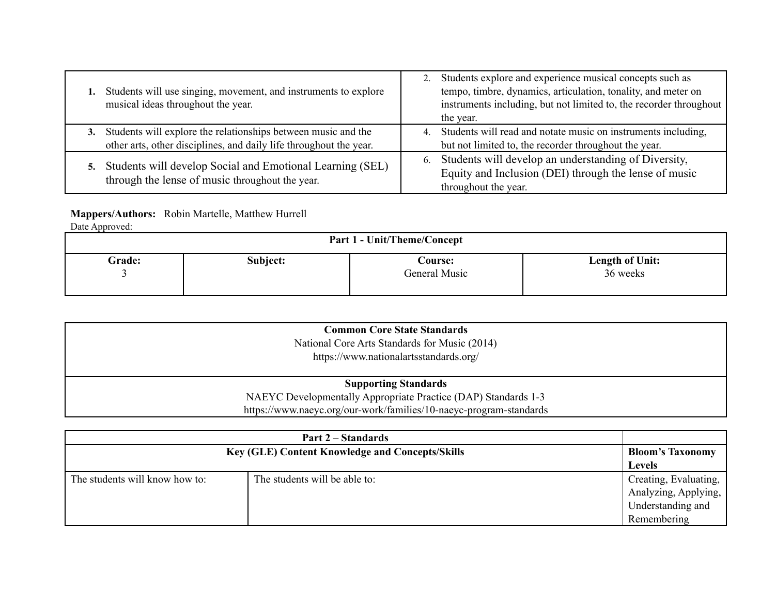| Students will use singing, movement, and instruments to explore<br>musical ideas throughout the year.                               | Students explore and experience musical concepts such as<br>tempo, timbre, dynamics, articulation, tonality, and meter on<br>instruments including, but not limited to, the recorder throughout<br>the year. |
|-------------------------------------------------------------------------------------------------------------------------------------|--------------------------------------------------------------------------------------------------------------------------------------------------------------------------------------------------------------|
| Students will explore the relationships between music and the<br>other arts, other disciplines, and daily life throughout the year. | 4. Students will read and notate music on instruments including,<br>but not limited to, the recorder throughout the year.                                                                                    |
| Students will develop Social and Emotional Learning (SEL)<br>through the lense of music throughout the year.                        | Students will develop an understanding of Diversity,<br>6.<br>Equity and Inclusion (DEI) through the lense of music<br>throughout the year.                                                                  |

# **Mappers/Authors:** Robin Martelle, Matthew Hurrell

Date Approved:

| .<br><b>Part 1 - Unit/Theme/Concept</b> |          |                          |                             |
|-----------------------------------------|----------|--------------------------|-----------------------------|
| Grade:                                  | Subject: | Course:<br>General Music | Length of Unit:<br>36 weeks |

| <b>Common Core State Standards</b><br>National Core Arts Standards for Music (2014)<br>https://www.nationalartsstandards.org/ |
|-------------------------------------------------------------------------------------------------------------------------------|
| <b>Supporting Standards</b>                                                                                                   |
| NAEYC Developmentally Appropriate Practice (DAP) Standards 1-3                                                                |
| https://www.naeyc.org/our-work/families/10-naeyc-program-standards                                                            |

| Part 2 – Standards                                     |                               |                         |
|--------------------------------------------------------|-------------------------------|-------------------------|
| <b>Key (GLE) Content Knowledge and Concepts/Skills</b> |                               | <b>Bloom's Taxonomy</b> |
|                                                        | <b>Levels</b>                 |                         |
| The students will know how to:                         | The students will be able to: | Creating, Evaluating,   |
|                                                        |                               | Analyzing, Applying,    |
|                                                        |                               | Understanding and       |
|                                                        |                               | Remembering             |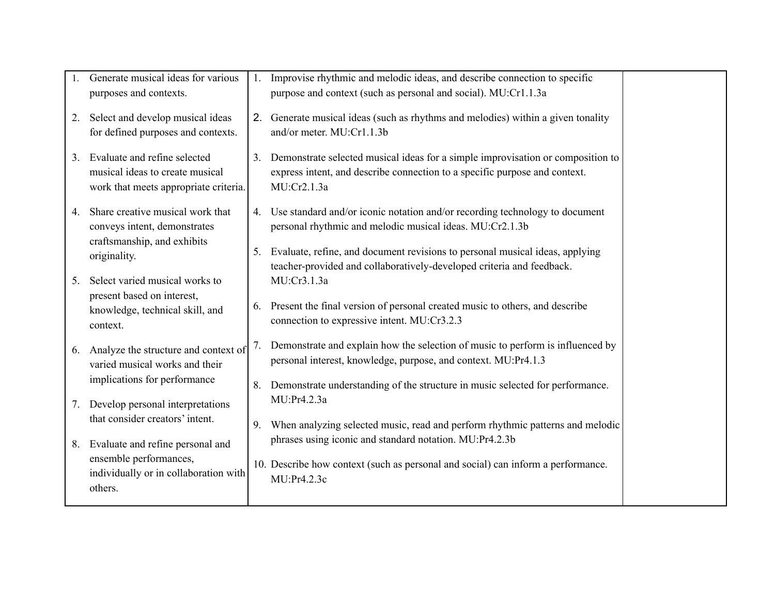|    | Generate musical ideas for various<br>purposes and contexts.                                             |    | Improvise rhythmic and melodic ideas, and describe connection to specific<br>purpose and context (such as personal and social). MU:Cr1.1.3a                                  |  |
|----|----------------------------------------------------------------------------------------------------------|----|------------------------------------------------------------------------------------------------------------------------------------------------------------------------------|--|
| 2. | Select and develop musical ideas<br>for defined purposes and contexts.                                   |    | 2. Generate musical ideas (such as rhythms and melodies) within a given tonality<br>and/or meter. MU:Cr1.1.3b                                                                |  |
| 3. | Evaluate and refine selected<br>musical ideas to create musical<br>work that meets appropriate criteria. |    | Demonstrate selected musical ideas for a simple improvisation or composition to<br>express intent, and describe connection to a specific purpose and context.<br>MU:Cr2.1.3a |  |
| 4. | Share creative musical work that<br>conveys intent, demonstrates<br>craftsmanship, and exhibits          |    | 4. Use standard and/or iconic notation and/or recording technology to document<br>personal rhythmic and melodic musical ideas. MU:Cr2.1.3b                                   |  |
|    | originality.                                                                                             | 5. | Evaluate, refine, and document revisions to personal musical ideas, applying<br>teacher-provided and collaboratively-developed criteria and feedback.                        |  |
| 5. | Select varied musical works to<br>present based on interest,                                             |    | MU:Cr3.1.3a                                                                                                                                                                  |  |
|    | knowledge, technical skill, and<br>context.                                                              |    | 6. Present the final version of personal created music to others, and describe<br>connection to expressive intent. MU:Cr3.2.3                                                |  |
| 6. | Analyze the structure and context of<br>varied musical works and their                                   | 7. | Demonstrate and explain how the selection of music to perform is influenced by<br>personal interest, knowledge, purpose, and context. MU:Pr4.1.3                             |  |
|    | implications for performance                                                                             | 8. | Demonstrate understanding of the structure in music selected for performance.                                                                                                |  |
| 7. | Develop personal interpretations<br>that consider creators' intent.                                      |    | MU:Pr4.2.3a                                                                                                                                                                  |  |
| 8. | Evaluate and refine personal and                                                                         | 9. | When analyzing selected music, read and perform rhythmic patterns and melodic<br>phrases using iconic and standard notation. MU:Pr4.2.3b                                     |  |
|    | ensemble performances,<br>individually or in collaboration with<br>others.                               |    | 10. Describe how context (such as personal and social) can inform a performance.<br>MU:Pr4.2.3c                                                                              |  |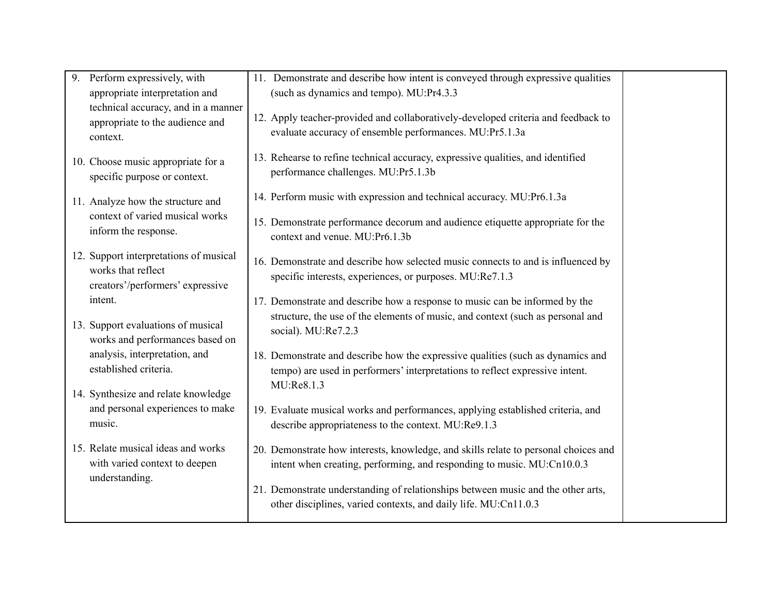| 9. | Perform expressively, with<br>appropriate interpretation and                                     | 11. Demonstrate and describe how intent is conveyed through expressive qualities<br>(such as dynamics and tempo). MU:Pr4.3.3                                    |  |
|----|--------------------------------------------------------------------------------------------------|-----------------------------------------------------------------------------------------------------------------------------------------------------------------|--|
|    | technical accuracy, and in a manner<br>appropriate to the audience and<br>context.               | 12. Apply teacher-provided and collaboratively-developed criteria and feedback to<br>evaluate accuracy of ensemble performances. MU:Pr5.1.3a                    |  |
|    | 10. Choose music appropriate for a<br>specific purpose or context.                               | 13. Rehearse to refine technical accuracy, expressive qualities, and identified<br>performance challenges. MU:Pr5.1.3b                                          |  |
|    | 11. Analyze how the structure and                                                                | 14. Perform music with expression and technical accuracy. MU:Pr6.1.3a                                                                                           |  |
|    | context of varied musical works<br>inform the response.                                          | 15. Demonstrate performance decorum and audience etiquette appropriate for the<br>context and venue. MU:Pr6.1.3b                                                |  |
|    | 12. Support interpretations of musical<br>works that reflect<br>creators'/performers' expressive | 16. Demonstrate and describe how selected music connects to and is influenced by<br>specific interests, experiences, or purposes. MU:Re7.1.3                    |  |
|    | intent.                                                                                          | 17. Demonstrate and describe how a response to music can be informed by the                                                                                     |  |
|    | 13. Support evaluations of musical<br>works and performances based on                            | structure, the use of the elements of music, and context (such as personal and<br>social). MU:Re7.2.3                                                           |  |
|    | analysis, interpretation, and<br>established criteria.                                           | 18. Demonstrate and describe how the expressive qualities (such as dynamics and<br>tempo) are used in performers' interpretations to reflect expressive intent. |  |
|    | 14. Synthesize and relate knowledge                                                              | MU:Re8.1.3                                                                                                                                                      |  |
|    | and personal experiences to make<br>music.                                                       | 19. Evaluate musical works and performances, applying established criteria, and<br>describe appropriateness to the context. MU:Re9.1.3                          |  |
|    | 15. Relate musical ideas and works<br>with varied context to deepen                              | 20. Demonstrate how interests, knowledge, and skills relate to personal choices and<br>intent when creating, performing, and responding to music. MU:Cn10.0.3   |  |
|    | understanding.                                                                                   | 21. Demonstrate understanding of relationships between music and the other arts,<br>other disciplines, varied contexts, and daily life. MU:Cn11.0.3             |  |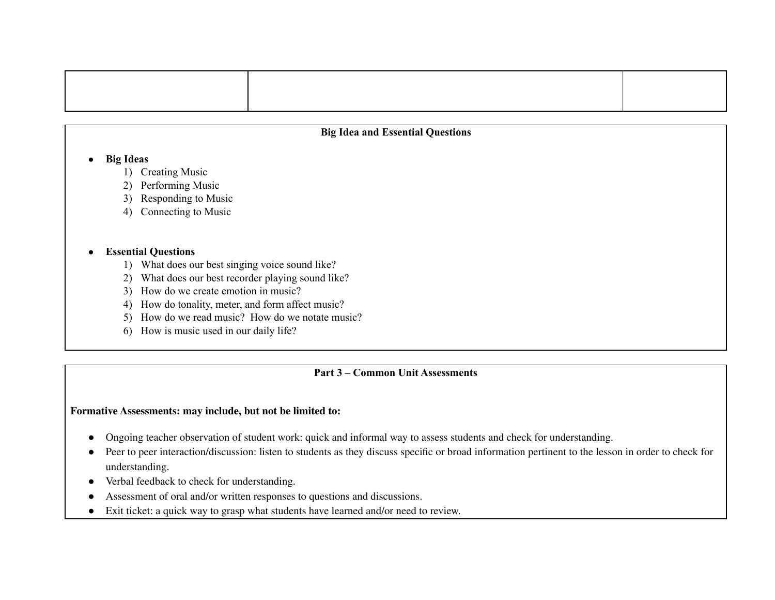#### **Big Idea and Essential Questions**

#### **● Big Ideas**

- 1) Creating Music
- 2) Performing Music
- 3) Responding to Music
- 4) Connecting to Music

#### **● Essential Questions**

- 1) What does our best singing voice sound like?
- 2) What does our best recorder playing sound like?
- 3) How do we create emotion in music?
- 4) How do tonality, meter, and form affect music?
- 5) How do we read music? How do we notate music?
- 6) How is music used in our daily life?

## **Part 3 – Common Unit Assessments**

#### **Formative Assessments: may include, but not be limited to:**

- Ongoing teacher observation of student work: quick and informal way to assess students and check for understanding.
- Peer to peer interaction/discussion: listen to students as they discuss specific or broad information pertinent to the lesson in order to check for understanding.
- Verbal feedback to check for understanding.
- Assessment of oral and/or written responses to questions and discussions.
- Exit ticket: a quick way to grasp what students have learned and/or need to review.